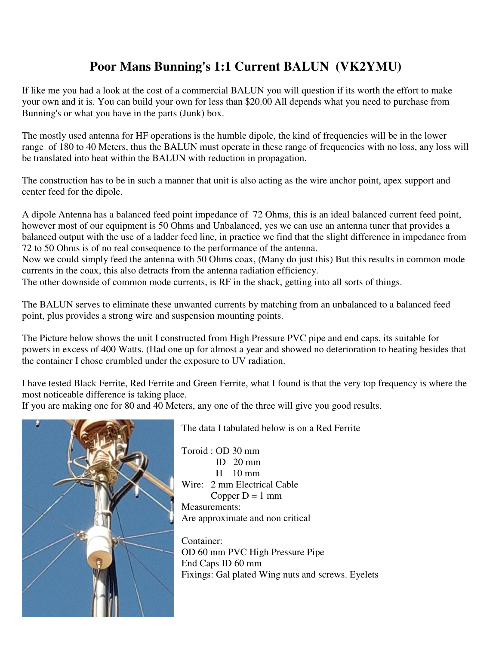## **Poor Mans Bunning's 1:1 Current BALUN (VK2YMU)**

If like me you had a look at the cost of a commercial BALUN you will question if its worth the effort to make your own and it is. You can build your own for less than \$20.00 All depends what you need to purchase from Bunning's or what you have in the parts (Junk) box.

The mostly used antenna for HF operations is the humble dipole, the kind of frequencies will be in the lower range of 180 to 40 Meters, thus the BALUN must operate in these range of frequencies with no loss, any loss will be translated into heat within the BALUN with reduction in propagation.

The construction has to be in such a manner that unit is also acting as the wire anchor point, apex support and center feed for the dipole.

A dipole Antenna has a balanced feed point impedance of 72 Ohms, this is an ideal balanced current feed point, however most of our equipment is 50 Ohms and Unbalanced, yes we can use an antenna tuner that provides a balanced output with the use of a ladder feed line, in practice we find that the slight difference in impedance from 72 to 50 Ohms is of no real consequence to the performance of the antenna.

Now we could simply feed the antenna with 50 Ohms coax, (Many do just this) But this results in common mode currents in the coax, this also detracts from the antenna radiation efficiency.

The other downside of common mode currents, is RF in the shack, getting into all sorts of things.

The BALUN serves to eliminate these unwanted currents by matching from an unbalanced to a balanced feed point, plus provides a strong wire and suspension mounting points.

The Picture below shows the unit I constructed from High Pressure PVC pipe and end caps, its suitable for powers in excess of 400 Watts. (Had one up for almost a year and showed no deterioration to heating besides that the container I chose crumbled under the exposure to UV radiation.

I have tested Black Ferrite, Red Ferrite and Green Ferrite, what I found is that the very top frequency is where the most noticeable difference is taking place.

If you are making one for 80 and 40 Meters, any one of the three will give you good results.



The data I tabulated below is on a Red Ferrite

Toroid : OD 30 mm ID  $20 \text{ mm}$  H 10 mm Wire: 2 mm Electrical Cable Copper  $D = 1$  mm Measurements: Are approximate and non critical

Container: OD 60 mm PVC High Pressure Pipe End Caps ID 60 mm Fixings: Gal plated Wing nuts and screws. Eyelets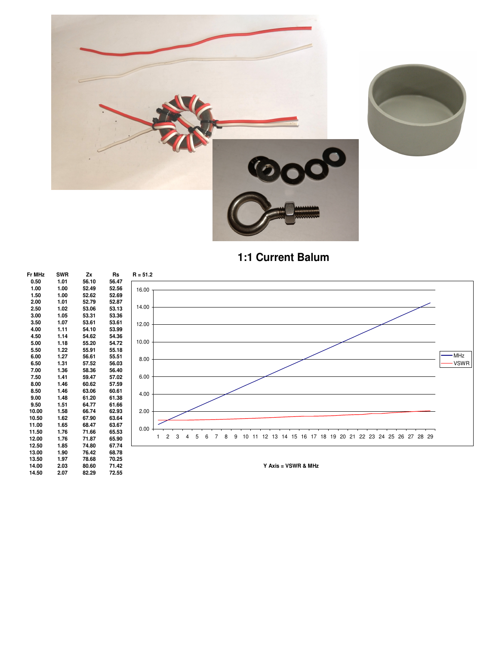